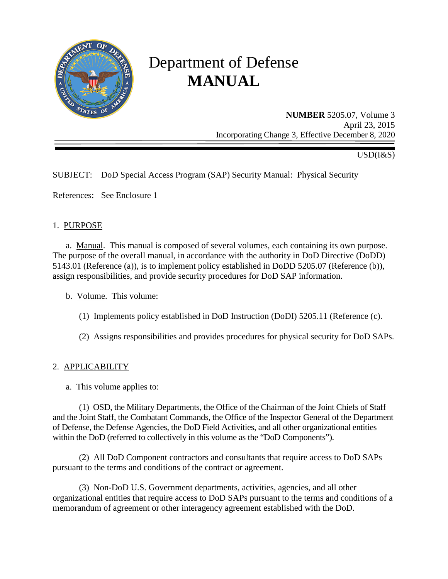

# Department of Defense **MANUAL**

**NUMBER** 5205.07, Volume 3 April 23, 2015 Incorporating Change 3, Effective December 8, 2020

USD(I&S)

## SUBJECT: DoD Special Access Program (SAP) Security Manual: Physical Security

References: See Enclosure 1

#### 1. PURPOSE

a. Manual. This manual is composed of several volumes, each containing its own purpose. The purpose of the overall manual, in accordance with the authority in DoD Directive (DoDD) 5143.01 (Reference (a)), is to implement policy established in DoDD 5205.07 (Reference (b)), assign responsibilities, and provide security procedures for DoD SAP information.

- b. Volume. This volume:
	- (1) Implements policy established in DoD Instruction (DoDI) 5205.11 (Reference (c).
	- (2) Assigns responsibilities and provides procedures for physical security for DoD SAPs.

## 2. APPLICABILITY

a. This volume applies to:

(1) OSD, the Military Departments, the Office of the Chairman of the Joint Chiefs of Staff and the Joint Staff, the Combatant Commands, the Office of the Inspector General of the Department of Defense, the Defense Agencies, the DoD Field Activities, and all other organizational entities within the DoD (referred to collectively in this volume as the "DoD Components").

(2) All DoD Component contractors and consultants that require access to DoD SAPs pursuant to the terms and conditions of the contract or agreement.

(3) Non-DoD U.S. Government departments, activities, agencies, and all other organizational entities that require access to DoD SAPs pursuant to the terms and conditions of a memorandum of agreement or other interagency agreement established with the DoD.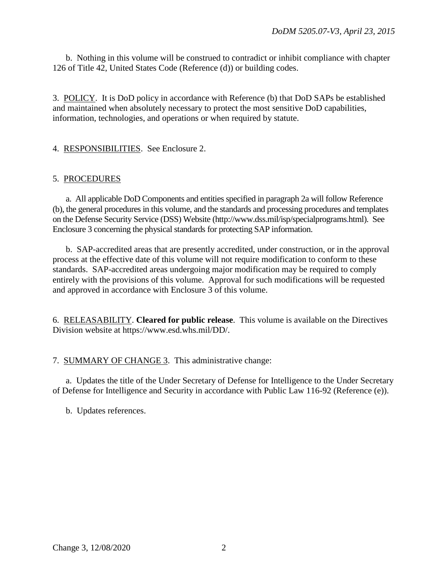b. Nothing in this volume will be construed to contradict or inhibit compliance with chapter 126 of Title 42, United States Code (Reference (d)) or building codes.

3. POLICY. It is DoD policy in accordance with Reference (b) that DoD SAPs be established and maintained when absolutely necessary to protect the most sensitive DoD capabilities, information, technologies, and operations or when required by statute.

## 4. RESPONSIBILITIES. See Enclosure 2.

#### 5. PROCEDURES

a. All applicable DoD Components and entities specified in paragraph 2a will follow Reference (b), the general procedures in this volume, and the standards and processing procedures and templates on the Defense Security Service (DSS) Website (http://www.dss.mil/isp/specialprograms.html). See Enclosure 3 concerning the physical standards for protecting SAP information.

b. SAP-accredited areas that are presently accredited, under construction, or in the approval process at the effective date of this volume will not require modification to conform to these standards. SAP-accredited areas undergoing major modification may be required to comply entirely with the provisions of this volume. Approval for such modifications will be requested and approved in accordance with Enclosure 3 of this volume.

6. RELEASABILITY. **Cleared for public release**. This volume is available on the Directives Division website at https://www.esd.whs.mil/DD/.

#### 7. SUMMARY OF CHANGE 3. This administrative change:

a. Updates the title of the Under Secretary of Defense for Intelligence to the Under Secretary of Defense for Intelligence and Security in accordance with Public Law 116-92 (Reference (e)).

b. Updates references.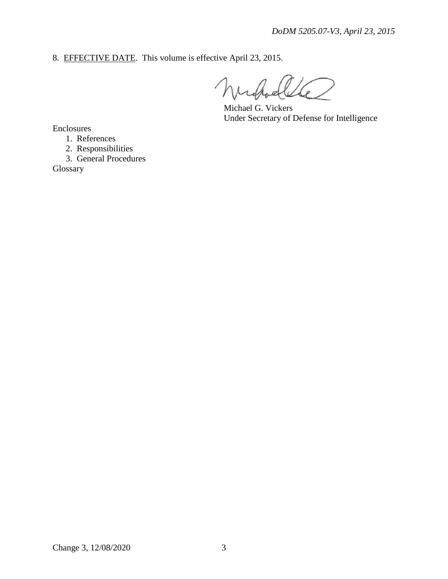8. EFFECTIVE DATE. This volume is effective April 23, 2015.

Joelle 6

Michael G. Vickers Under Secretary of Defense for Intelligence

Enclosures

- 1. References
- 2. Responsibilities
- 3. General Procedures

Glossary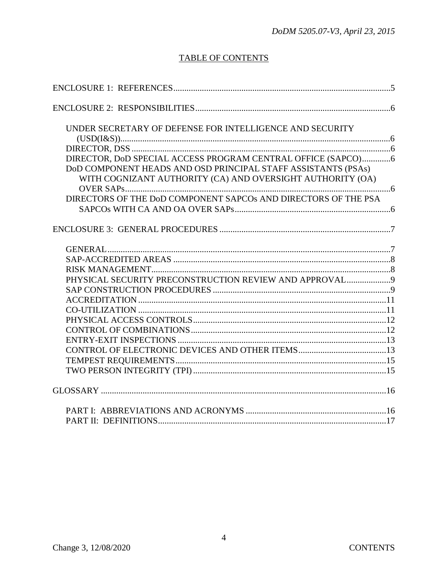# **TABLE OF CONTENTS**

| UNDER SECRETARY OF DEFENSE FOR INTELLIGENCE AND SECURITY       |  |
|----------------------------------------------------------------|--|
|                                                                |  |
|                                                                |  |
| DIRECTOR, DoD SPECIAL ACCESS PROGRAM CENTRAL OFFICE (SAPCO)6   |  |
| DoD COMPONENT HEADS AND OSD PRINCIPAL STAFF ASSISTANTS (PSAs)  |  |
| WITH COGNIZANT AUTHORITY (CA) AND OVERSIGHT AUTHORITY (OA)     |  |
|                                                                |  |
| DIRECTORS OF THE DoD COMPONENT SAPCOS AND DIRECTORS OF THE PSA |  |
|                                                                |  |
|                                                                |  |
|                                                                |  |
|                                                                |  |
|                                                                |  |
| PHYSICAL SECURITY PRECONSTRUCTION REVIEW AND APPROVAL9         |  |
|                                                                |  |
|                                                                |  |
|                                                                |  |
|                                                                |  |
|                                                                |  |
|                                                                |  |
|                                                                |  |
|                                                                |  |
|                                                                |  |
|                                                                |  |
|                                                                |  |
|                                                                |  |
|                                                                |  |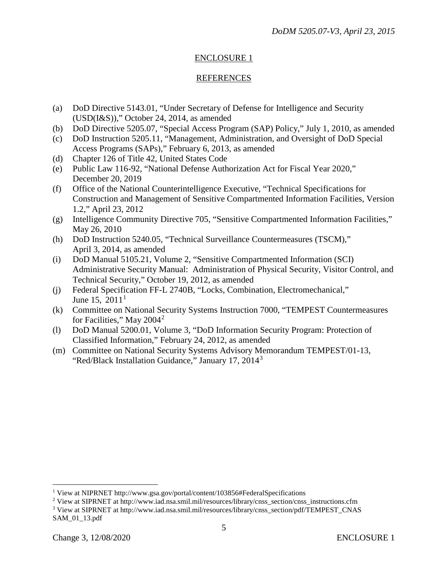## ENCLOSURE 1

## REFERENCES

- (a) DoD Directive 5143.01, "Under Secretary of Defense for Intelligence and Security (USD(I&S))," October 24, 2014, as amended
- (b) DoD Directive 5205.07, "Special Access Program (SAP) Policy," July 1, 2010, as amended
- (c) DoD Instruction 5205.11, "Management, Administration, and Oversight of DoD Special Access Programs (SAPs)," February 6, 2013, as amended
- (d) Chapter 126 of Title 42, United States Code
- (e) Public Law 116-92, "National Defense Authorization Act for Fiscal Year 2020," December 20, 2019
- (f) Office of the National Counterintelligence Executive, "Technical Specifications for Construction and Management of Sensitive Compartmented Information Facilities, Version 1.2," April 23, 2012
- (g) Intelligence Community Directive 705, "Sensitive Compartmented Information Facilities," May 26, 2010
- (h) DoD Instruction 5240.05, "Technical Surveillance Countermeasures (TSCM)," April 3, 2014, as amended
- (i) DoD Manual 5105.21, Volume 2, "Sensitive Compartmented Information (SCI) Administrative Security Manual: Administration of Physical Security, Visitor Control, and Technical Security," October 19, 2012, as amended
- (j) Federal Specification FF-L 2740B, "Locks, Combination, Electromechanical," June [1](#page-4-0)5,  $2011<sup>1</sup>$
- (k) Committee on National Security Systems Instruction 7000, "TEMPEST Countermeasures for Facilities," May [2](#page-4-1)004<sup>2</sup>
- (l) DoD Manual 5200.01, Volume 3, "DoD Information Security Program: Protection of Classified Information," February 24, 2012, as amended
- (m) Committee on National Security Systems Advisory Memorandum TEMPEST/01-13, "Red/Black Installation Guidance," January 17, 2014[3](#page-4-2)

<span id="page-4-0"></span><sup>&</sup>lt;sup>1</sup> View at NIPRNET http://www.gsa.gov/portal/content/103856#FederalSpecifications

<span id="page-4-2"></span><span id="page-4-1"></span><sup>&</sup>lt;sup>2</sup> View at SIPRNET at http://www.iad.nsa.smil.mil/resources/library/cnss\_section/cnss\_instructions.cfm <sup>3</sup> View at SIPRNET at http://www.iad.nsa.smil.mil/resources/library/cnss\_section/pdf/TEMPEST\_CNAS SAM\_01\_13.pdf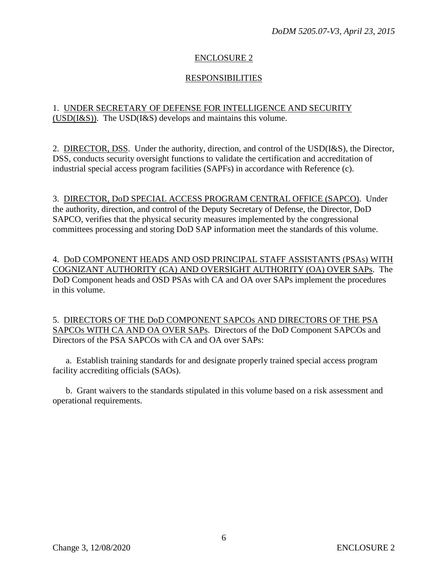## ENCLOSURE 2

## RESPONSIBILITIES

## 1. UNDER SECRETARY OF DEFENSE FOR INTELLIGENCE AND SECURITY (USD(I&S)). The USD(I&S) develops and maintains this volume.

2. DIRECTOR, DSS. Under the authority, direction, and control of the USD(I&S), the Director, DSS, conducts security oversight functions to validate the certification and accreditation of industrial special access program facilities (SAPFs) in accordance with Reference (c).

3. DIRECTOR, DoD SPECIAL ACCESS PROGRAM CENTRAL OFFICE (SAPCO). Under the authority, direction, and control of the Deputy Secretary of Defense, the Director, DoD SAPCO, verifies that the physical security measures implemented by the congressional committees processing and storing DoD SAP information meet the standards of this volume.

4. DoD COMPONENT HEADS AND OSD PRINCIPAL STAFF ASSISTANTS (PSAs) WITH COGNIZANT AUTHORITY (CA) AND OVERSIGHT AUTHORITY (OA) OVER SAPs. The DoD Component heads and OSD PSAs with CA and OA over SAPs implement the procedures in this volume.

5. DIRECTORS OF THE DoD COMPONENT SAPCOs AND DIRECTORS OF THE PSA SAPCOs WITH CA AND OA OVER SAPs. Directors of the DoD Component SAPCOs and Directors of the PSA SAPCOs with CA and OA over SAPs:

a. Establish training standards for and designate properly trained special access program facility accrediting officials (SAOs).

b. Grant waivers to the standards stipulated in this volume based on a risk assessment and operational requirements.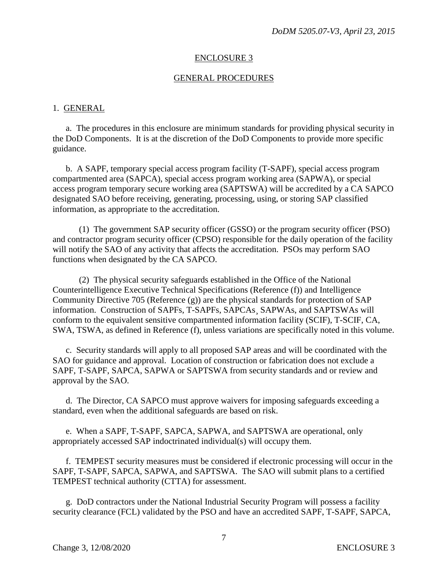#### ENCLOSURE 3

#### GENERAL PROCEDURES

#### 1. GENERAL

a. The procedures in this enclosure are minimum standards for providing physical security in the DoD Components. It is at the discretion of the DoD Components to provide more specific guidance.

b. A SAPF, temporary special access program facility (T-SAPF), special access program compartmented area (SAPCA), special access program working area (SAPWA), or special access program temporary secure working area (SAPTSWA) will be accredited by a CA SAPCO designated SAO before receiving, generating, processing, using, or storing SAP classified information, as appropriate to the accreditation.

(1) The government SAP security officer (GSSO) or the program security officer (PSO) and contractor program security officer (CPSO) responsible for the daily operation of the facility will notify the SAO of any activity that affects the accreditation. PSOs may perform SAO functions when designated by the CA SAPCO.

(2) The physical security safeguards established in the Office of the National Counterintelligence Executive Technical Specifications (Reference (f)) and Intelligence Community Directive 705 (Reference (g)) are the physical standards for protection of SAP information. Construction of SAPFs, T-SAPFs, SAPCAs¸ SAPWAs, and SAPTSWAs will conform to the equivalent sensitive compartmented information facility (SCIF), T-SCIF, CA, SWA, TSWA, as defined in Reference (f), unless variations are specifically noted in this volume.

c. Security standards will apply to all proposed SAP areas and will be coordinated with the SAO for guidance and approval. Location of construction or fabrication does not exclude a SAPF, T-SAPF, SAPCA, SAPWA or SAPTSWA from security standards and or review and approval by the SAO.

d. The Director, CA SAPCO must approve waivers for imposing safeguards exceeding a standard, even when the additional safeguards are based on risk.

e. When a SAPF, T-SAPF, SAPCA, SAPWA, and SAPTSWA are operational, only appropriately accessed SAP indoctrinated individual(s) will occupy them.

f. TEMPEST security measures must be considered if electronic processing will occur in the SAPF, T-SAPF, SAPCA, SAPWA, and SAPTSWA. The SAO will submit plans to a certified TEMPEST technical authority (CTTA) for assessment.

g. DoD contractors under the National Industrial Security Program will possess a facility security clearance (FCL) validated by the PSO and have an accredited SAPF, T-SAPF, SAPCA,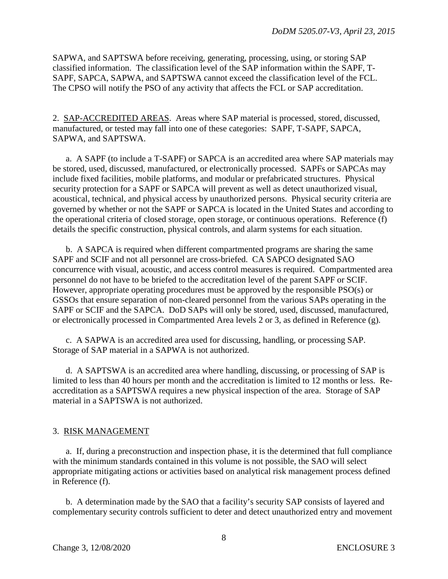SAPWA, and SAPTSWA before receiving, generating, processing, using, or storing SAP classified information. The classification level of the SAP information within the SAPF, T-SAPF, SAPCA, SAPWA, and SAPTSWA cannot exceed the classification level of the FCL. The CPSO will notify the PSO of any activity that affects the FCL or SAP accreditation.

2. SAP-ACCREDITED AREAS. Areas where SAP material is processed, stored, discussed, manufactured, or tested may fall into one of these categories: SAPF, T-SAPF, SAPCA, SAPWA, and SAPTSWA.

a. A SAPF (to include a T-SAPF) or SAPCA is an accredited area where SAP materials may be stored, used, discussed, manufactured, or electronically processed. SAPFs or SAPCAs may include fixed facilities, mobile platforms, and modular or prefabricated structures. Physical security protection for a SAPF or SAPCA will prevent as well as detect unauthorized visual, acoustical, technical, and physical access by unauthorized persons. Physical security criteria are governed by whether or not the SAPF or SAPCA is located in the United States and according to the operational criteria of closed storage, open storage, or continuous operations. Reference (f) details the specific construction, physical controls, and alarm systems for each situation.

b. A SAPCA is required when different compartmented programs are sharing the same SAPF and SCIF and not all personnel are cross-briefed. CA SAPCO designated SAO concurrence with visual, acoustic, and access control measures is required. Compartmented area personnel do not have to be briefed to the accreditation level of the parent SAPF or SCIF. However, appropriate operating procedures must be approved by the responsible PSO(s) or GSSOs that ensure separation of non-cleared personnel from the various SAPs operating in the SAPF or SCIF and the SAPCA. DoD SAPs will only be stored, used, discussed, manufactured, or electronically processed in Compartmented Area levels 2 or 3, as defined in Reference (g).

c. A SAPWA is an accredited area used for discussing, handling, or processing SAP. Storage of SAP material in a SAPWA is not authorized.

d. A SAPTSWA is an accredited area where handling, discussing, or processing of SAP is limited to less than 40 hours per month and the accreditation is limited to 12 months or less. Reaccreditation as a SAPTSWA requires a new physical inspection of the area. Storage of SAP material in a SAPTSWA is not authorized.

#### 3. RISK MANAGEMENT

a. If, during a preconstruction and inspection phase, it is the determined that full compliance with the minimum standards contained in this volume is not possible, the SAO will select appropriate mitigating actions or activities based on analytical risk management process defined in Reference (f).

b. A determination made by the SAO that a facility's security SAP consists of layered and complementary security controls sufficient to deter and detect unauthorized entry and movement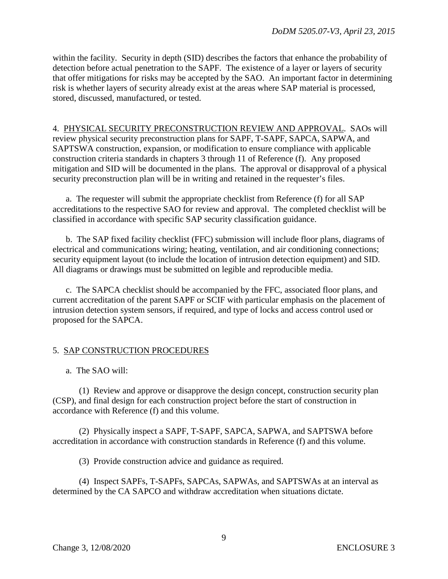within the facility. Security in depth (SID) describes the factors that enhance the probability of detection before actual penetration to the SAPF. The existence of a layer or layers of security that offer mitigations for risks may be accepted by the SAO. An important factor in determining risk is whether layers of security already exist at the areas where SAP material is processed, stored, discussed, manufactured, or tested.

4. PHYSICAL SECURITY PRECONSTRUCTION REVIEW AND APPROVAL. SAOs will review physical security preconstruction plans for SAPF, T-SAPF, SAPCA, SAPWA, and SAPTSWA construction, expansion, or modification to ensure compliance with applicable construction criteria standards in chapters 3 through 11 of Reference (f). Any proposed mitigation and SID will be documented in the plans. The approval or disapproval of a physical security preconstruction plan will be in writing and retained in the requester's files.

a. The requester will submit the appropriate checklist from Reference (f) for all SAP accreditations to the respective SAO for review and approval. The completed checklist will be classified in accordance with specific SAP security classification guidance.

b. The SAP fixed facility checklist (FFC) submission will include floor plans, diagrams of electrical and communications wiring; heating, ventilation, and air conditioning connections; security equipment layout (to include the location of intrusion detection equipment) and SID. All diagrams or drawings must be submitted on legible and reproducible media.

c. The SAPCA checklist should be accompanied by the FFC, associated floor plans, and current accreditation of the parent SAPF or SCIF with particular emphasis on the placement of intrusion detection system sensors, if required, and type of locks and access control used or proposed for the SAPCA.

## 5. SAP CONSTRUCTION PROCEDURES

a. The SAO will:

(1) Review and approve or disapprove the design concept, construction security plan (CSP), and final design for each construction project before the start of construction in accordance with Reference (f) and this volume.

(2) Physically inspect a SAPF, T-SAPF, SAPCA, SAPWA, and SAPTSWA before accreditation in accordance with construction standards in Reference (f) and this volume.

(3) Provide construction advice and guidance as required.

(4) Inspect SAPFs, T-SAPFs, SAPCAs, SAPWAs, and SAPTSWAs at an interval as determined by the CA SAPCO and withdraw accreditation when situations dictate.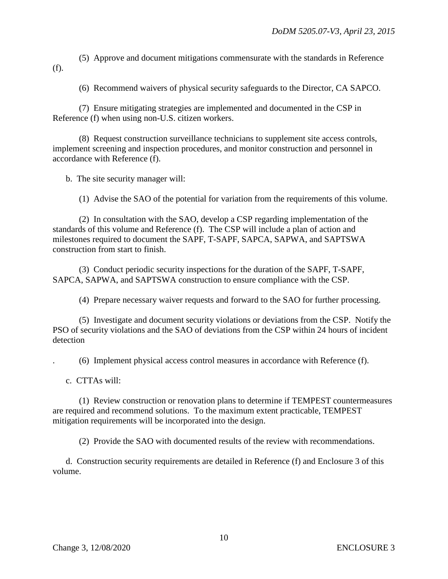(5) Approve and document mitigations commensurate with the standards in Reference (f).

(6) Recommend waivers of physical security safeguards to the Director, CA SAPCO.

(7) Ensure mitigating strategies are implemented and documented in the CSP in Reference (f) when using non-U.S. citizen workers.

(8) Request construction surveillance technicians to supplement site access controls, implement screening and inspection procedures, and monitor construction and personnel in accordance with Reference (f).

b. The site security manager will:

(1) Advise the SAO of the potential for variation from the requirements of this volume.

(2) In consultation with the SAO, develop a CSP regarding implementation of the standards of this volume and Reference (f). The CSP will include a plan of action and milestones required to document the SAPF, T-SAPF, SAPCA, SAPWA, and SAPTSWA construction from start to finish.

(3) Conduct periodic security inspections for the duration of the SAPF, T-SAPF, SAPCA, SAPWA, and SAPTSWA construction to ensure compliance with the CSP.

(4) Prepare necessary waiver requests and forward to the SAO for further processing.

(5) Investigate and document security violations or deviations from the CSP. Notify the PSO of security violations and the SAO of deviations from the CSP within 24 hours of incident detection

. (6) Implement physical access control measures in accordance with Reference (f).

c. CTTAs will:

(1) Review construction or renovation plans to determine if TEMPEST countermeasures are required and recommend solutions. To the maximum extent practicable, TEMPEST mitigation requirements will be incorporated into the design.

(2) Provide the SAO with documented results of the review with recommendations.

d. Construction security requirements are detailed in Reference (f) and Enclosure 3 of this volume.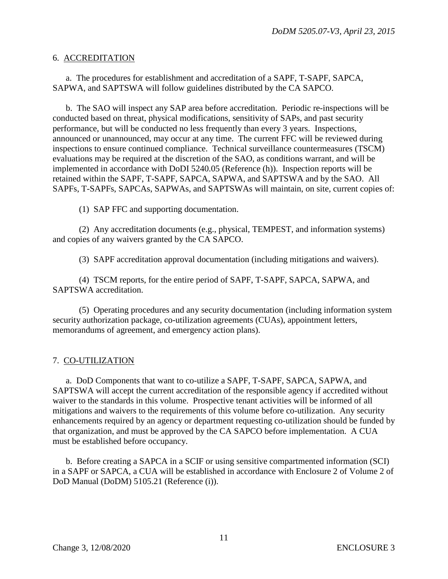#### 6. ACCREDITATION

a. The procedures for establishment and accreditation of a SAPF, T-SAPF, SAPCA, SAPWA, and SAPTSWA will follow guidelines distributed by the CA SAPCO.

b. The SAO will inspect any SAP area before accreditation. Periodic re-inspections will be conducted based on threat, physical modifications, sensitivity of SAPs, and past security performance, but will be conducted no less frequently than every 3 years. Inspections, announced or unannounced, may occur at any time. The current FFC will be reviewed during inspections to ensure continued compliance. Technical surveillance countermeasures (TSCM) evaluations may be required at the discretion of the SAO, as conditions warrant, and will be implemented in accordance with DoDI 5240.05 (Reference (h)). Inspection reports will be retained within the SAPF, T-SAPF, SAPCA, SAPWA, and SAPTSWA and by the SAO. All SAPFs, T-SAPFs, SAPCAs, SAPWAs, and SAPTSWAs will maintain, on site, current copies of:

(1) SAP FFC and supporting documentation.

(2) Any accreditation documents (e.g., physical, TEMPEST, and information systems) and copies of any waivers granted by the CA SAPCO.

(3) SAPF accreditation approval documentation (including mitigations and waivers).

(4) TSCM reports, for the entire period of SAPF, T-SAPF, SAPCA, SAPWA, and SAPTSWA accreditation.

(5) Operating procedures and any security documentation (including information system security authorization package, co-utilization agreements (CUAs), appointment letters, memorandums of agreement, and emergency action plans).

## 7. CO-UTILIZATION

a. DoD Components that want to co-utilize a SAPF, T-SAPF, SAPCA, SAPWA, and SAPTSWA will accept the current accreditation of the responsible agency if accredited without waiver to the standards in this volume. Prospective tenant activities will be informed of all mitigations and waivers to the requirements of this volume before co-utilization. Any security enhancements required by an agency or department requesting co-utilization should be funded by that organization, and must be approved by the CA SAPCO before implementation. A CUA must be established before occupancy.

b. Before creating a SAPCA in a SCIF or using sensitive compartmented information (SCI) in a SAPF or SAPCA, a CUA will be established in accordance with Enclosure 2 of Volume 2 of DoD Manual (DoDM) 5105.21 (Reference (i)).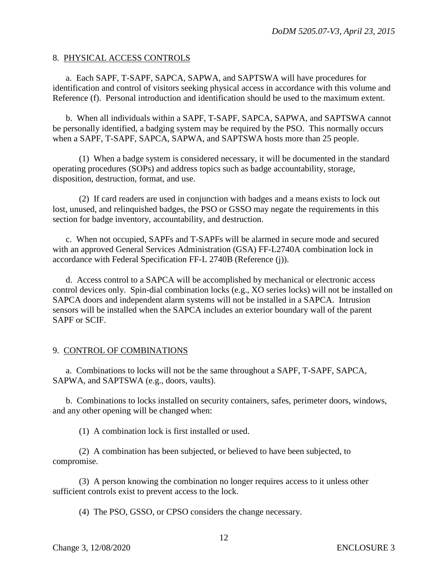#### 8. PHYSICAL ACCESS CONTROLS

a. Each SAPF, T-SAPF, SAPCA, SAPWA, and SAPTSWA will have procedures for identification and control of visitors seeking physical access in accordance with this volume and Reference (f). Personal introduction and identification should be used to the maximum extent.

b. When all individuals within a SAPF, T-SAPF, SAPCA, SAPWA, and SAPTSWA cannot be personally identified, a badging system may be required by the PSO. This normally occurs when a SAPF, T-SAPF, SAPCA, SAPWA, and SAPTSWA hosts more than 25 people.

(1) When a badge system is considered necessary, it will be documented in the standard operating procedures (SOPs) and address topics such as badge accountability, storage, disposition, destruction, format, and use.

(2) If card readers are used in conjunction with badges and a means exists to lock out lost, unused, and relinquished badges, the PSO or GSSO may negate the requirements in this section for badge inventory, accountability, and destruction.

c. When not occupied, SAPFs and T-SAPFs will be alarmed in secure mode and secured with an approved General Services Administration (GSA) FF-L2740A combination lock in accordance with Federal Specification FF-L 2740B (Reference (j)).

d. Access control to a SAPCA will be accomplished by mechanical or electronic access control devices only. Spin-dial combination locks (e.g., XO series locks) will not be installed on SAPCA doors and independent alarm systems will not be installed in a SAPCA. Intrusion sensors will be installed when the SAPCA includes an exterior boundary wall of the parent SAPF or SCIF.

## 9. CONTROL OF COMBINATIONS

a. Combinations to locks will not be the same throughout a SAPF, T-SAPF, SAPCA, SAPWA, and SAPTSWA (e.g., doors, vaults).

b. Combinations to locks installed on security containers, safes, perimeter doors, windows, and any other opening will be changed when:

(1) A combination lock is first installed or used.

(2) A combination has been subjected, or believed to have been subjected, to compromise.

(3) A person knowing the combination no longer requires access to it unless other sufficient controls exist to prevent access to the lock.

(4) The PSO, GSSO, or CPSO considers the change necessary.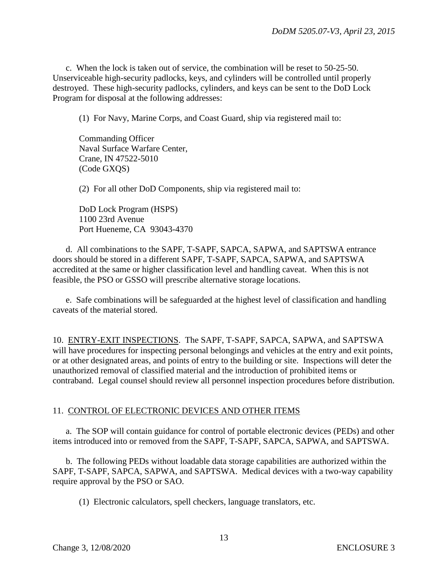c. When the lock is taken out of service, the combination will be reset to 50-25-50. Unserviceable high-security padlocks, keys, and cylinders will be controlled until properly destroyed. These high-security padlocks, cylinders, and keys can be sent to the DoD Lock Program for disposal at the following addresses:

(1) For Navy, Marine Corps, and Coast Guard, ship via registered mail to:

Commanding Officer Naval Surface Warfare Center, Crane, IN 47522-5010 (Code GXQS)

(2) For all other DoD Components, ship via registered mail to:

DoD Lock Program (HSPS) 1100 23rd Avenue Port Hueneme, CA 93043-4370

d. All combinations to the SAPF, T-SAPF, SAPCA, SAPWA, and SAPTSWA entrance doors should be stored in a different SAPF, T-SAPF, SAPCA, SAPWA, and SAPTSWA accredited at the same or higher classification level and handling caveat. When this is not feasible, the PSO or GSSO will prescribe alternative storage locations.

e. Safe combinations will be safeguarded at the highest level of classification and handling caveats of the material stored.

10. ENTRY-EXIT INSPECTIONS. The SAPF, T-SAPF, SAPCA, SAPWA, and SAPTSWA will have procedures for inspecting personal belongings and vehicles at the entry and exit points, or at other designated areas, and points of entry to the building or site. Inspections will deter the unauthorized removal of classified material and the introduction of prohibited items or contraband. Legal counsel should review all personnel inspection procedures before distribution.

## 11. CONTROL OF ELECTRONIC DEVICES AND OTHER ITEMS

a. The SOP will contain guidance for control of portable electronic devices (PEDs) and other items introduced into or removed from the SAPF, T-SAPF, SAPCA, SAPWA, and SAPTSWA.

b. The following PEDs without loadable data storage capabilities are authorized within the SAPF, T-SAPF, SAPCA, SAPWA, and SAPTSWA. Medical devices with a two-way capability require approval by the PSO or SAO.

(1) Electronic calculators, spell checkers, language translators, etc.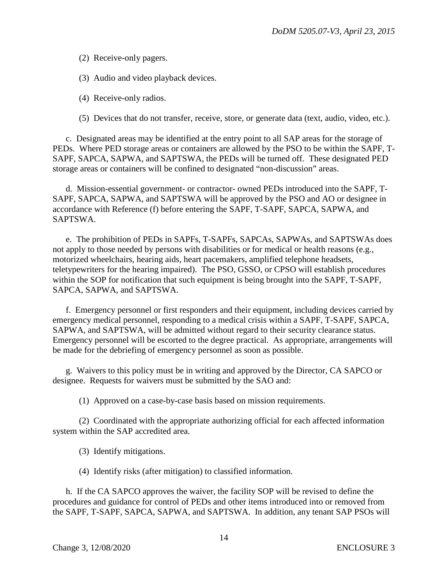(2) Receive-only pagers.

(3) Audio and video playback devices.

(4) Receive-only radios.

(5) Devices that do not transfer, receive, store, or generate data (text, audio, video, etc.).

c. Designated areas may be identified at the entry point to all SAP areas for the storage of PEDs. Where PED storage areas or containers are allowed by the PSO to be within the SAPF, T-SAPF, SAPCA, SAPWA, and SAPTSWA, the PEDs will be turned off. These designated PED storage areas or containers will be confined to designated "non-discussion" areas.

d. Mission-essential government- or contractor- owned PEDs introduced into the SAPF, T-SAPF, SAPCA, SAPWA, and SAPTSWA will be approved by the PSO and AO or designee in accordance with Reference (f) before entering the SAPF, T-SAPF, SAPCA, SAPWA, and SAPTSWA.

e. The prohibition of PEDs in SAPFs, T-SAPFs, SAPCAs, SAPWAs, and SAPTSWAs does not apply to those needed by persons with disabilities or for medical or health reasons (e.g., motorized wheelchairs, hearing aids, heart pacemakers, amplified telephone headsets, teletypewriters for the hearing impaired). The PSO, GSSO, or CPSO will establish procedures within the SOP for notification that such equipment is being brought into the SAPF, T-SAPF, SAPCA, SAPWA, and SAPTSWA.

f. Emergency personnel or first responders and their equipment, including devices carried by emergency medical personnel, responding to a medical crisis within a SAPF, T-SAPF, SAPCA, SAPWA, and SAPTSWA, will be admitted without regard to their security clearance status. Emergency personnel will be escorted to the degree practical. As appropriate, arrangements will be made for the debriefing of emergency personnel as soon as possible.

g. Waivers to this policy must be in writing and approved by the Director, CA SAPCO or designee. Requests for waivers must be submitted by the SAO and:

(1) Approved on a case-by-case basis based on mission requirements.

(2) Coordinated with the appropriate authorizing official for each affected information system within the SAP accredited area.

(3) Identify mitigations.

(4) Identify risks (after mitigation) to classified information.

h. If the CA SAPCO approves the waiver, the facility SOP will be revised to define the procedures and guidance for control of PEDs and other items introduced into or removed from the SAPF, T-SAPF, SAPCA, SAPWA, and SAPTSWA. In addition, any tenant SAP PSOs will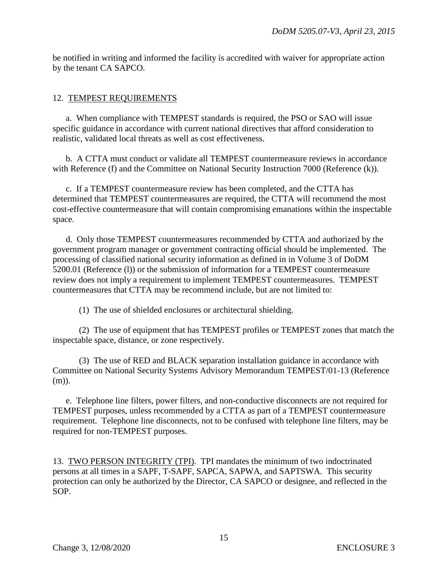be notified in writing and informed the facility is accredited with waiver for appropriate action by the tenant CA SAPCO.

## 12. TEMPEST REQUIREMENTS

a. When compliance with TEMPEST standards is required, the PSO or SAO will issue specific guidance in accordance with current national directives that afford consideration to realistic, validated local threats as well as cost effectiveness.

b. A CTTA must conduct or validate all TEMPEST countermeasure reviews in accordance with Reference (f) and the Committee on National Security Instruction 7000 (Reference (k)).

c. If a TEMPEST countermeasure review has been completed, and the CTTA has determined that TEMPEST countermeasures are required, the CTTA will recommend the most cost-effective countermeasure that will contain compromising emanations within the inspectable space.

d. Only those TEMPEST countermeasures recommended by CTTA and authorized by the government program manager or government contracting official should be implemented. The processing of classified national security information as defined in in Volume 3 of DoDM 5200.01 (Reference (l)) or the submission of information for a TEMPEST countermeasure review does not imply a requirement to implement TEMPEST countermeasures. TEMPEST countermeasures that CTTA may be recommend include, but are not limited to:

(1) The use of shielded enclosures or architectural shielding.

(2) The use of equipment that has TEMPEST profiles or TEMPEST zones that match the inspectable space, distance, or zone respectively.

(3) The use of RED and BLACK separation installation guidance in accordance with Committee on National Security Systems Advisory Memorandum TEMPEST/01-13 (Reference (m)).

e. Telephone line filters, power filters, and non-conductive disconnects are not required for TEMPEST purposes, unless recommended by a CTTA as part of a TEMPEST countermeasure requirement. Telephone line disconnects, not to be confused with telephone line filters, may be required for non-TEMPEST purposes.

13. TWO PERSON INTEGRITY (TPI). TPI mandates the minimum of two indoctrinated persons at all times in a SAPF, T-SAPF, SAPCA, SAPWA, and SAPTSWA. This security protection can only be authorized by the Director, CA SAPCO or designee, and reflected in the SOP.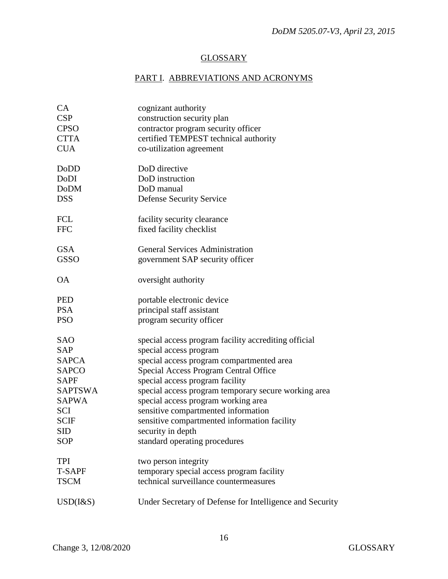## **GLOSSARY**

# PART I. ABBREVIATIONS AND ACRONYMS

| CA              | cognizant authority                                      |
|-----------------|----------------------------------------------------------|
| <b>CSP</b>      | construction security plan                               |
| <b>CPSO</b>     | contractor program security officer                      |
| <b>CTTA</b>     | certified TEMPEST technical authority                    |
| <b>CUA</b>      | co-utilization agreement                                 |
|                 |                                                          |
| DoDD            | DoD directive                                            |
| DoDI            | DoD instruction                                          |
| <b>DoDM</b>     | DoD manual                                               |
| <b>DSS</b>      | <b>Defense Security Service</b>                          |
| <b>FCL</b>      | facility security clearance                              |
| <b>FFC</b>      | fixed facility checklist                                 |
|                 |                                                          |
| <b>GSA</b>      | <b>General Services Administration</b>                   |
| <b>GSSO</b>     | government SAP security officer                          |
| <b>OA</b>       | oversight authority                                      |
| <b>PED</b>      | portable electronic device                               |
| <b>PSA</b>      | principal staff assistant                                |
| <b>PSO</b>      | program security officer                                 |
| <b>SAO</b>      | special access program facility accrediting official     |
| <b>SAP</b>      | special access program                                   |
| <b>SAPCA</b>    | special access program compartmented area                |
| <b>SAPCO</b>    | Special Access Program Central Office                    |
| <b>SAPF</b>     | special access program facility                          |
| <b>SAPTSWA</b>  | special access program temporary secure working area     |
| <b>SAPWA</b>    | special access program working area                      |
| SCI             | sensitive compartmented information                      |
| <b>SCIF</b>     | sensitive compartmented information facility             |
| SID             |                                                          |
|                 | security in depth                                        |
| <b>SOP</b>      | standard operating procedures                            |
| <b>TPI</b>      | two person integrity                                     |
| <b>T-SAPF</b>   | temporary special access program facility                |
| <b>TSCM</b>     | technical surveillance countermeasures                   |
| $USD$ ( $1&$ S) | Under Secretary of Defense for Intelligence and Security |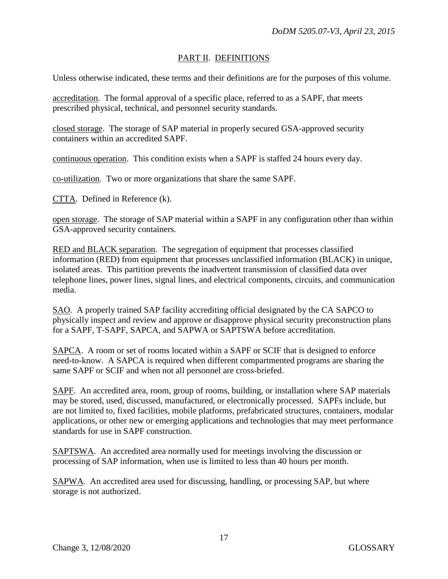## PART II. DEFINITIONS

Unless otherwise indicated, these terms and their definitions are for the purposes of this volume.

accreditation. The formal approval of a specific place, referred to as a SAPF, that meets prescribed physical, technical, and personnel security standards.

closed storage. The storage of SAP material in properly secured GSA-approved security containers within an accredited SAPF.

continuous operation. This condition exists when a SAPF is staffed 24 hours every day.

co-utilization. Two or more organizations that share the same SAPF.

CTTA. Defined in Reference (k).

open storage. The storage of SAP material within a SAPF in any configuration other than within GSA-approved security containers.

RED and BLACK separation. The segregation of equipment that processes classified information (RED) from equipment that processes unclassified information (BLACK) in unique, isolated areas. This partition prevents the inadvertent transmission of classified data over telephone lines, power lines, signal lines, and electrical components, circuits, and communication media.

SAO. A properly trained SAP facility accrediting official designated by the CA SAPCO to physically inspect and review and approve or disapprove physical security preconstruction plans for a SAPF, T-SAPF, SAPCA, and SAPWA or SAPTSWA before accreditation.

SAPCA. A room or set of rooms located within a SAPF or SCIF that is designed to enforce need-to-know. A SAPCA is required when different compartmented programs are sharing the same SAPF or SCIF and when not all personnel are cross-briefed.

SAPF. An accredited area, room, group of rooms, building, or installation where SAP materials may be stored, used, discussed, manufactured, or electronically processed. SAPFs include, but are not limited to, fixed facilities, mobile platforms, prefabricated structures, containers, modular applications, or other new or emerging applications and technologies that may meet performance standards for use in SAPF construction.

SAPTSWA. An accredited area normally used for meetings involving the discussion or processing of SAP information, when use is limited to less than 40 hours per month.

SAPWA. An accredited area used for discussing, handling, or processing SAP, but where storage is not authorized.